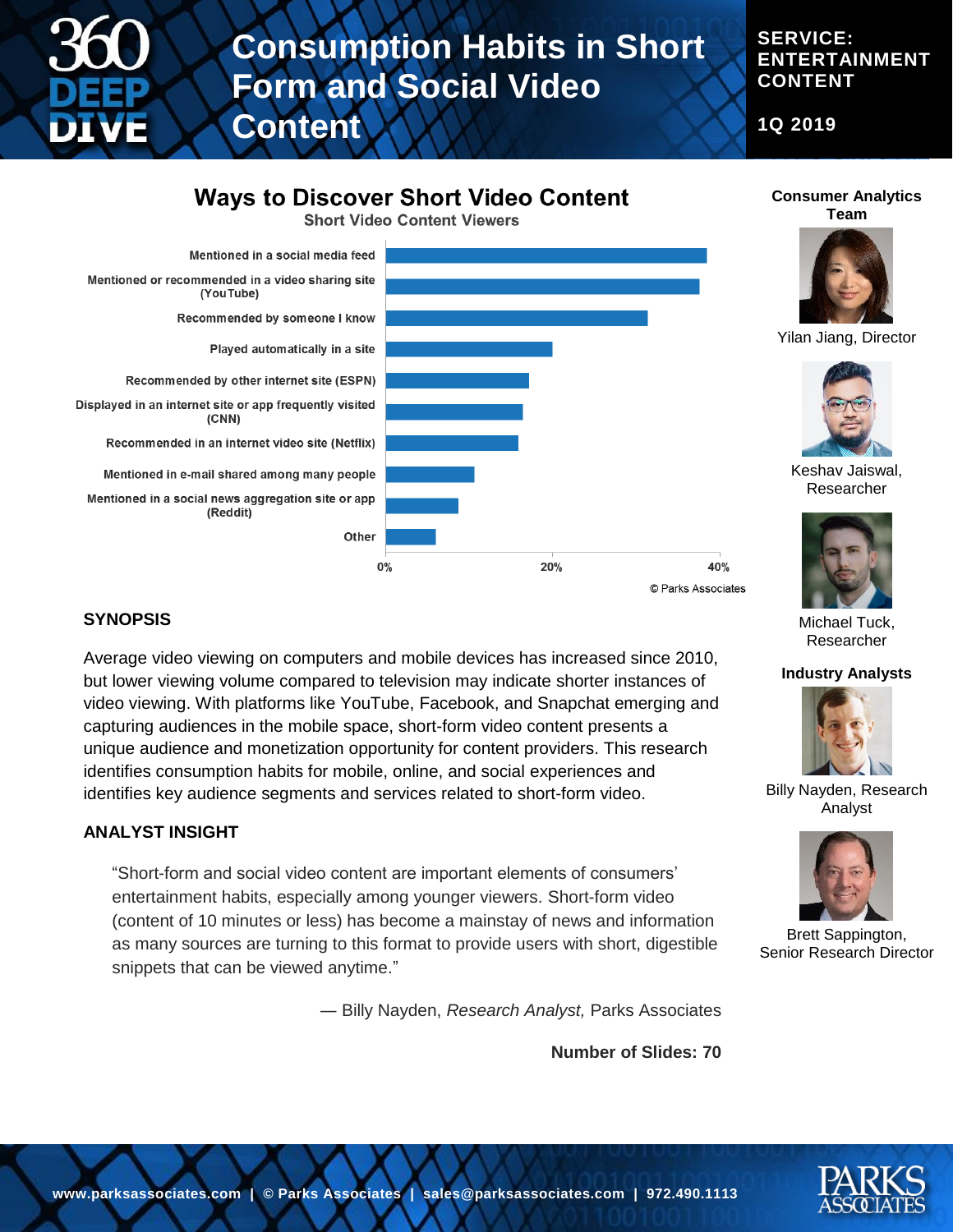

# **Consumption Habits in Short Form and Social Video**

**SERVICE: ENTERTAINMENT CONTENT**

**Consumer Analytics Team**

**1Q 2019**

# **Ways to Discover Short Video Content**

**Content**

**Short Video Content Viewers** 



### **SYNOPSIS**

Average video viewing on computers and mobile devices has increased since 2010, but lower viewing volume compared to television may indicate shorter instances of video viewing. With platforms like YouTube, Facebook, and Snapchat emerging and capturing audiences in the mobile space, short-form video content presents a unique audience and monetization opportunity for content providers. This research identifies consumption habits for mobile, online, and social experiences and identifies key audience segments and services related to short-form video.

### **ANALYST INSIGHT**

"Short-form and social video content are important elements of consumers' entertainment habits, especially among younger viewers. Short-form video (content of 10 minutes or less) has become a mainstay of news and information as many sources are turning to this format to provide users with short, digestible snippets that can be viewed anytime."

― Billy Nayden, *Research Analyst,* Parks Associates

**Number of Slides: 70**

#### **Industry Analysts**

Michael Tuck, Researcher



Billy Nayden, Research Analyst



Brett Sappington, Senior Research Director

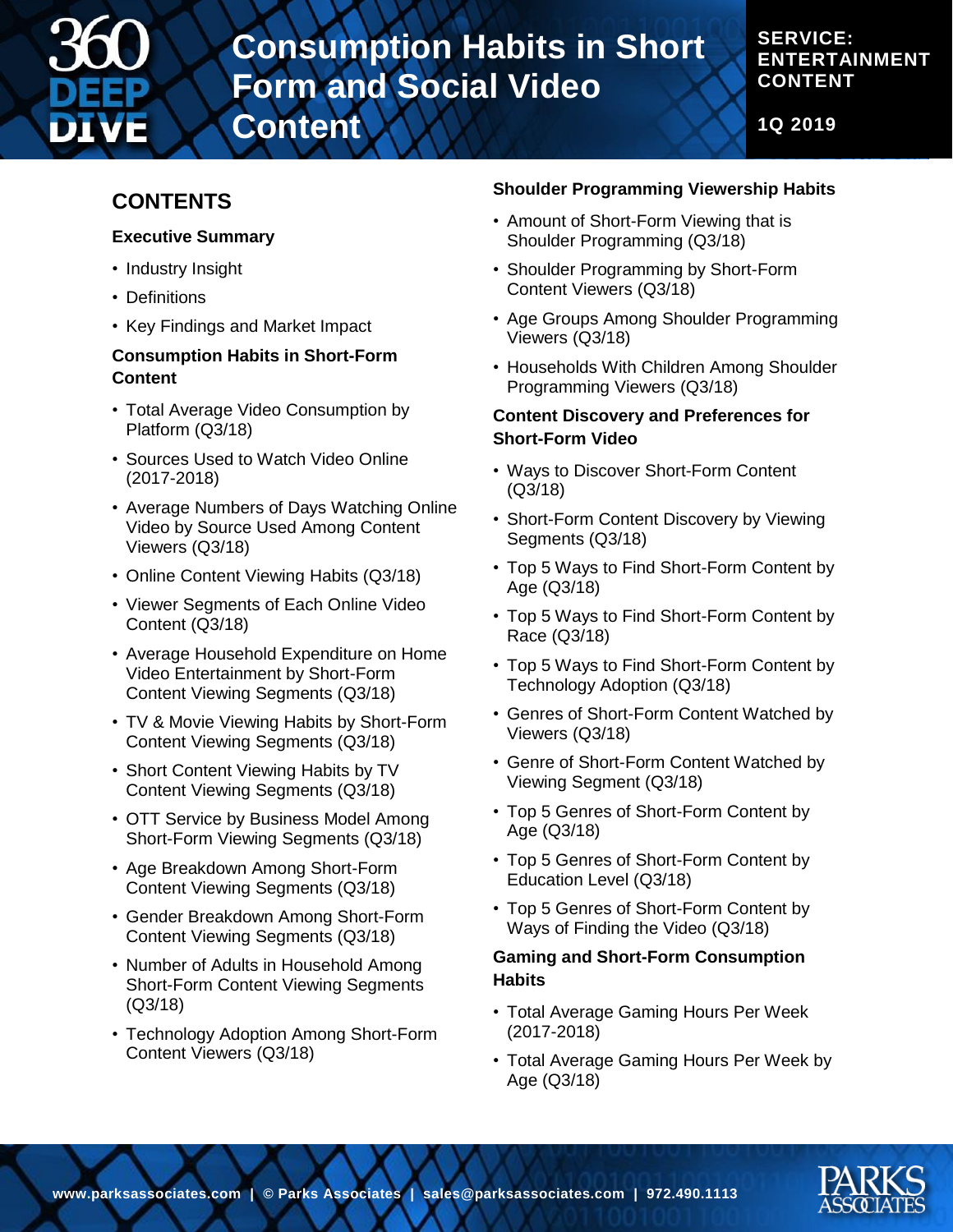

# **Consumption Habits in Short Form and Social Video**

# **SERVICE: ENTERTAINMENT CONTENT**

**1Q 2019**

# **CONTENTS**

### **Executive Summary**

- Industry Insight
- Definitions
- Key Findings and Market Impact

## **Consumption Habits in Short-Form Content**

**Content**

- Total Average Video Consumption by Platform (Q3/18)
- Sources Used to Watch Video Online (2017-2018)
- Average Numbers of Days Watching Online Video by Source Used Among Content Viewers (Q3/18)
- Online Content Viewing Habits (Q3/18)
- Viewer Segments of Each Online Video Content (Q3/18)
- Average Household Expenditure on Home Video Entertainment by Short-Form Content Viewing Segments (Q3/18)
- TV & Movie Viewing Habits by Short-Form Content Viewing Segments (Q3/18)
- Short Content Viewing Habits by TV Content Viewing Segments (Q3/18)
- OTT Service by Business Model Among Short-Form Viewing Segments (Q3/18)
- Age Breakdown Among Short-Form Content Viewing Segments (Q3/18)
- Gender Breakdown Among Short-Form Content Viewing Segments (Q3/18)
- Number of Adults in Household Among Short-Form Content Viewing Segments (Q3/18)
- Technology Adoption Among Short-Form Content Viewers (Q3/18)

# **Shoulder Programming Viewership Habits**

- Amount of Short-Form Viewing that is Shoulder Programming (Q3/18)
- Shoulder Programming by Short-Form Content Viewers (Q3/18)
- Age Groups Among Shoulder Programming Viewers (Q3/18)
- Households With Children Among Shoulder Programming Viewers (Q3/18)

### **Content Discovery and Preferences for Short-Form Video**

- Ways to Discover Short-Form Content (Q3/18)
- Short-Form Content Discovery by Viewing Segments (Q3/18)
- Top 5 Ways to Find Short-Form Content by Age (Q3/18)
- Top 5 Ways to Find Short-Form Content by Race (Q3/18)
- Top 5 Ways to Find Short-Form Content by Technology Adoption (Q3/18)
- Genres of Short-Form Content Watched by Viewers (Q3/18)
- Genre of Short-Form Content Watched by Viewing Segment (Q3/18)
- Top 5 Genres of Short-Form Content by Age (Q3/18)
- Top 5 Genres of Short-Form Content by Education Level (Q3/18)
- Top 5 Genres of Short-Form Content by Ways of Finding the Video (Q3/18)

### **Gaming and Short-Form Consumption Habits**

- Total Average Gaming Hours Per Week (2017-2018)
- Total Average Gaming Hours Per Week by Age (Q3/18)

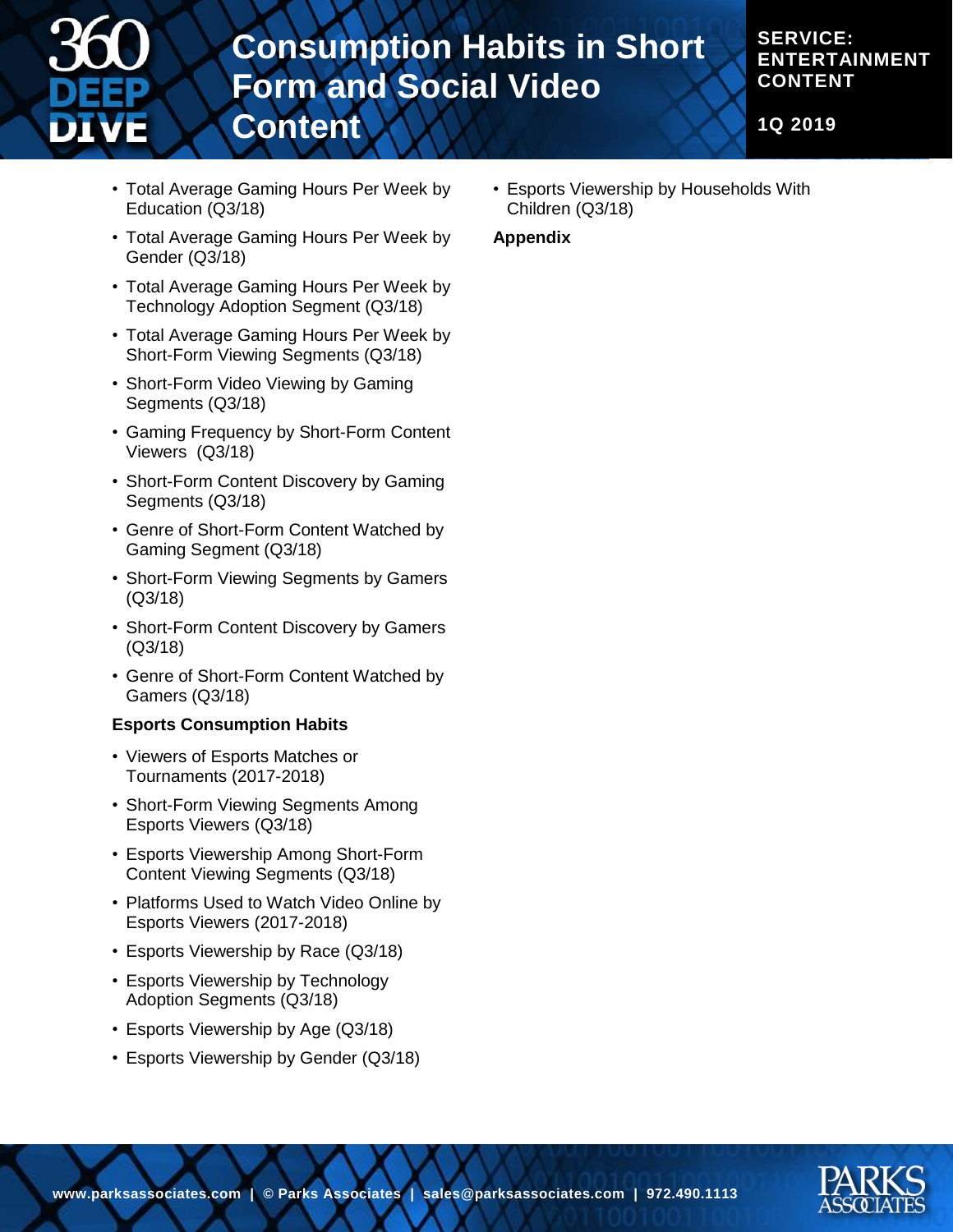

# **Consumption Habits in Short Form and Social Video Content**

## **SERVICE: ENTERTAINMENT CONTENT**

**1Q 2019**

- Total Average Gaming Hours Per Week by Education (Q3/18)
- Total Average Gaming Hours Per Week by Gender (Q3/18)
- Total Average Gaming Hours Per Week by Technology Adoption Segment (Q3/18)
- Total Average Gaming Hours Per Week by Short-Form Viewing Segments (Q3/18)
- Short-Form Video Viewing by Gaming Segments (Q3/18)
- Gaming Frequency by Short-Form Content Viewers (Q3/18)
- Short-Form Content Discovery by Gaming Segments (Q3/18)
- Genre of Short-Form Content Watched by Gaming Segment (Q3/18)
- Short-Form Viewing Segments by Gamers (Q3/18)
- Short-Form Content Discovery by Gamers (Q3/18)
- Genre of Short-Form Content Watched by Gamers (Q3/18)

#### **Esports Consumption Habits**

- Viewers of Esports Matches or Tournaments (2017-2018)
- Short-Form Viewing Segments Among Esports Viewers (Q3/18)
- Esports Viewership Among Short-Form Content Viewing Segments (Q3/18)
- Platforms Used to Watch Video Online by Esports Viewers (2017-2018)
- Esports Viewership by Race (Q3/18)
- Esports Viewership by Technology Adoption Segments (Q3/18)
- Esports Viewership by Age (Q3/18)
- Esports Viewership by Gender (Q3/18)

• Esports Viewership by Households With Children (Q3/18)

#### **Appendix**